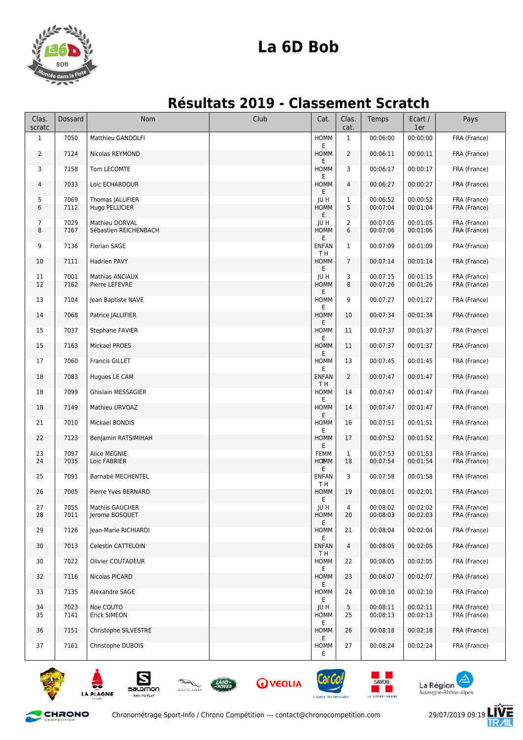

## **La 6D Bob**

## **Résultats 2019 - Classement Scratch**

| Clas.<br>scratc | Dossard      | Nom                                      | Club | Cat.                        | Clas.<br>cat.  | Temps                | Ecart /<br>1er       | Pays                         |
|-----------------|--------------|------------------------------------------|------|-----------------------------|----------------|----------------------|----------------------|------------------------------|
| $\mathbf{1}$    | 7050         | Matthieu GANDOLFI                        |      | HOMM<br>E                   | $\mathbf{1}$   | 00:06:00             | 00:00:00             | FRA (France)                 |
| $\overline{2}$  | 7124         | Nicolas REYMOND                          |      | <b>HOMM</b><br>E            | $\overline{2}$ | 00:06:11             | 00:00:11             | FRA (France)                 |
| 3               | 7158         | Tom LECOMTE                              |      | HOMM<br>E                   | 3              | 00:06:17             | 00:00:17             | FRA (France)                 |
| 4               | 7033         | Loic ECHARDOUR                           |      | HOMM<br>Е                   | 4              | 00:06:27             | 00:00:27             | FRA (France)                 |
| 5<br>6          | 7069<br>7112 | Thomas JALLIFIER<br>Hugo PELLICIER       |      | JU H<br>HOMM                | 1<br>5         | 00:06:52<br>00:07:04 | 00:00:52<br>00:01:04 | FRA (France)<br>FRA (France) |
| 7               | 7029         | Mathieu DORVAL                           |      | Ε<br>JU H                   | $\overline{2}$ | 00:07:05             | 00:01:05             | FRA (France)                 |
| 8               | 7167         | Sébastien REICHENBACH                    |      | HOMM<br>E                   | 6              | 00:07:06             | 00:01:06             | FRA (France)                 |
| 9               | 7136         | <b>Florian SAGE</b>                      |      | <b>ENFAN</b><br>TН          | 1              | 00:07:09             | 00:01:09             | FRA (France)                 |
| 10              | 7111         | Hadrien PAVY                             |      | HOMM<br>E                   | $\overline{7}$ | 00:07:14             | 00:01:14             | FRA (France)                 |
| 11              | 7001         | Mathias ANCIAUX                          |      | JU H                        | 3              | 00:07:15             | 00:01:15             | FRA (France)                 |
| 12              | 7162         | Pierre LEFEVRE                           |      | HOMM<br>E                   | 8              | 00:07:26             | 00:01:26             | FRA (France)                 |
| 13              | 7104         | Jean Baptiste NAVE                       |      | HOMM<br>E                   | 9              | 00:07:27             | 00:01:27             | FRA (France)                 |
| 14              | 7068         | Patrice JALLIFIER                        |      | HOMM<br>E.                  | 10             | 00:07:34             | 00:01:34             | FRA (France)                 |
| 15              | 7037         | Stephane FAVIER                          |      | HOMM<br>E                   | 11             | 00:07:37             | 00:01:37             | FRA (France)                 |
| 15              | 7163         | Mickael PROES                            |      | HOMM<br>E                   | 11             | 00:07:37             | 00:01:37             | FRA (France)                 |
| 17              | 7060         | <b>Francis GILLET</b>                    |      | HOMM<br>E                   | 13             | 00:07:45             | 00:01:45             | FRA (France)                 |
| 18              | 7083         | Hugues LE CAM                            |      | <b>ENFAN</b><br>TН          | 2              | 00:07:47             | 00:01:47             | FRA (France)                 |
| 18              | 7099         | Ghislain MESSAGIER                       |      | HOMM<br>E                   | 14             | 00:07:47             | 00:01:47             | FRA (France)                 |
| 18              | 7149         | Mathieu URVOAZ                           |      | HOMM<br>E                   | 14             | 00:07:47             | 00:01:47             | FRA (France)                 |
| 21              | 7010         | Mickael BONDIS                           |      | HOMM<br>E                   | 16             | 00:07:51             | 00:01:51             | FRA (France)                 |
| 22              | 7123         | Benjamin RATSIMIHAH                      |      | HOMM<br>E                   | 17             | 00:07:52             | 00:01:52             | FRA (France)                 |
| 23<br>24        | 7097<br>7035 | Alice MEGNIE<br>Loic FABRIER             |      | <b>FEMM</b><br><b>HOEMM</b> | 1<br>18        | 00:07:53<br>00:07:54 | 00:01:53<br>00:01:54 | FRA (France)<br>FRA (France) |
| 25              | 7091         | Barnabé MECHENTEL                        |      | E<br><b>ENFAN</b>           | 3              | 00:07:58             | 00:01:58             | FRA (France)                 |
|                 |              |                                          |      | T H                         |                |                      |                      |                              |
| 26              | 7005         | Pierre Yves BERNARD                      |      | HOMM<br>E                   | 19             | 00:08:01             | 00:02:01             | FRA (France)                 |
| 27<br>28        | 7055<br>7011 | <b>Mathiis GAUCHER</b><br>Jerome BOSQUET |      | JU H<br>HOMM                | 4<br>20        | 00:08:02<br>00:08:03 | 00:02:02<br>00:02:03 | FRA (France)<br>FRA (France) |
| 29              | 7126         | Jean-Marie RICHIARDI                     |      | E<br>HOMM                   | 21             | 00:08:04             | 00:02:04             | FRA (France)                 |
| 30              | 7013         | Celestin CATTELOIN                       |      | E.<br><b>ENFAN</b>          | 4              | 00:08:05             | 00:02:05             | FRA (France)                 |
| 30              | 7022         | Olivier COUTADEUR                        |      | T H<br>HOMM                 | 22             | 00:08:05             | 00:02:05             | FRA (France)                 |
| 32              | 7116         | Nicolas PICARD                           |      | E.<br>HOMM                  | 23             | 00:08:07             | 00:02:07             | FRA (France)                 |
| 33              | 7135         | Alexandre SAGE                           |      | E.<br>HOMM<br>E.            | 24             | 00:08:10             | 00:02:10             | FRA (France)                 |
| 34              | 7023         | Noe COUTO                                |      | JU H                        | 5              | 00:08:11             | 00:02:11             | FRA (France)                 |
| 35              | 7141         | Erick SIMEON                             |      | HOMM<br>E.                  | 25             | 00:08:13             | 00:02:13             | FRA (France)                 |
| 36              | 7151         | Christophe SILVESTRE                     |      | HOMM<br>E                   | 26             | 00:08:18             | 00:02:18             | FRA (France)                 |
| 37              | 7161         | Christophe DUBOIS                        |      | HOMM<br>E.                  | 27             | 00:08:24             | 00:02:24             | FRA (France)                 |







**Q** VEOLIA







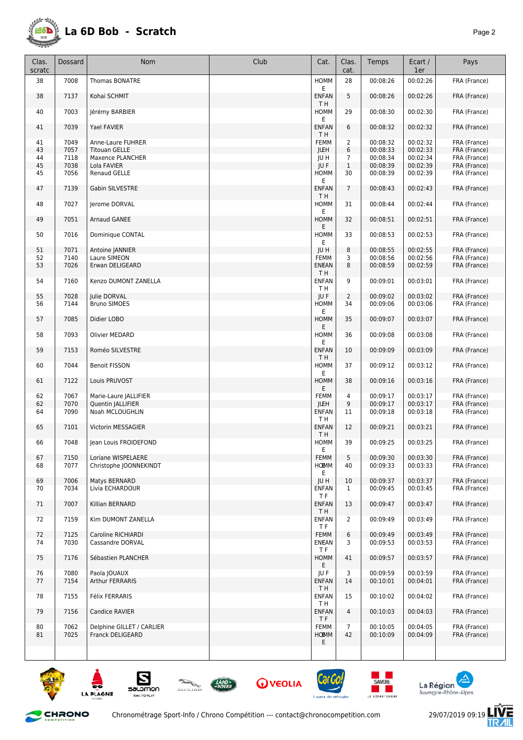

| Clas.<br>scratc | Dossard      | <b>Nom</b>                       | Club | Cat.                        | Clas.<br>cat.  | Temps                | Ecart /<br>1er       | Pays                         |
|-----------------|--------------|----------------------------------|------|-----------------------------|----------------|----------------------|----------------------|------------------------------|
| 38              | 7008         | <b>Thomas BONATRE</b>            |      | <b>HOMM</b><br>E.           | 28             | 00:08:26             | 00:02:26             | FRA (France)                 |
| 38              | 7137         | Kohai SCHMIT                     |      | <b>ENFAN</b>                | 5              | 00:08:26             | 00:02:26             | FRA (France)                 |
| 40              | 7003         | Jérémy BARBIER                   |      | T H<br>HOMM<br>Ε            | 29             | 00:08:30             | 00:02:30             | FRA (France)                 |
| 41              | 7039         | Yael FAVIER                      |      | <b>ENFAN</b><br>TН          | 6              | 00:08:32             | 00:02:32             | FRA (France)                 |
| 41              | 7049         | Anne-Laure FUHRER                |      | <b>FEMM</b>                 | 2              | 00:08:32             | 00:02:32             | FRA (France)                 |
| 43              | 7057         | <b>Titouan GELLE</b>             |      | <b>JUEH</b>                 | 6              | 00:08:33             | 00:02:33             | FRA (France)                 |
| 44              | 7118         | Maxence PLANCHER                 |      | JU H                        | 7              | 00:08:34             | 00:02:34             | FRA (France)                 |
| 45              | 7038         | Lola FAVIER                      |      | JU F                        | $\mathbf 1$    | 00:08:39             | 00:02:39             | FRA (France)                 |
| 45              | 7056         | Renaud GELLE                     |      | HOMM<br>E                   | 30             | 00:08:39             | 00:02:39             | FRA (France)                 |
| 47              | 7139         | Gabin SILVESTRE                  |      | <b>ENFAN</b><br>T H         | $\overline{7}$ | 00:08:43             | 00:02:43             | FRA (France)                 |
| 48              | 7027         | Jerome DORVAL                    |      | HOMM<br>Ε                   | 31             | 00:08:44             | 00:02:44             | FRA (France)                 |
| 49              | 7051         | Arnaud GANEE                     |      | <b>HOMM</b><br>E            | 32             | 00:08:51             | 00:02:51             | FRA (France)                 |
| 50              | 7016         | Dominique CONTAL                 |      | HOMM<br>Ε                   | 33             | 00:08:53             | 00:02:53             | FRA (France)                 |
| 51              | 7071         | Antoine JANNIER                  |      | <b>JUH</b>                  | 8              | 00:08:55             | 00:02:55             | FRA (France)                 |
| 52              | 7140         | Laure SIMEON                     |      | FEMM                        | 3              | 00:08:56             | 00:02:56             | FRA (France)                 |
| 53              | 7026         | Erwan DELIGEARD                  |      | <b>ENEAN</b><br>T H         | 8              | 00:08:59             | 00:02:59             | FRA (France)                 |
| 54              | 7160         | Kenzo DUMONT ZANELLA             |      | <b>ENFAN</b><br>TН          | 9              | 00:09:01             | 00:03:01             | FRA (France)                 |
| 55              | 7028         | <b>Iulie DORVAL</b>              |      | JU F                        | $\overline{2}$ | 00:09:02             | 00:03:02             | FRA (France)                 |
| 56              | 7144         | <b>Bruno SIMOES</b>              |      | HOMM<br>Ε                   | 34             | 00:09:06             | 00:03:06             | FRA (France)                 |
| 57              | 7085         | Didier LOBO                      |      | <b>HOMM</b><br>Ε            | 35             | 00:09:07             | 00:03:07             | FRA (France)                 |
| 58              | 7093         | Olivier MEDARD                   |      | HOMM<br>E                   | 36             | 00:09:08             | 00:03:08             | FRA (France)                 |
| 59              | 7153         | Roméo SILVESTRE                  |      | <b>ENFAN</b><br>T H         | 10             | 00:09:09             | 00:03:09             | FRA (France)                 |
| 60              | 7044         | <b>Benoit FISSON</b>             |      | HOMM<br>E                   | 37             | 00:09:12             | 00:03:12             | FRA (France)                 |
| 61              | 7122         | Louis PRUVOST                    |      | <b>HOMM</b><br>Ε            | 38             | 00:09:16             | 00:03:16             | FRA (France)                 |
| 62              | 7067         | Marie-Laure JALLIFIER            |      | <b>FEMM</b>                 | 4              | 00:09:17             | 00:03:17             | FRA (France)                 |
| 62              | 7070         | Quentin   ALLIFIER               |      | <b>JUEH</b>                 | 9              | 00:09:17             | 00:03:17             | FRA (France)                 |
| 64              | 7090         | Noah MCLOUGHLIN                  |      | ENFAN<br>TН                 | 11             | 00:09:18             | 00:03:18             | FRA (France)                 |
| 65              | 7101         | Victorin MESSAGIER               |      | <b>ENFAN</b><br>T H         | 12             | 00:09:21             | 00:03:21             | FRA (France)                 |
| 66              | 7048         | Jean Louis FROIDEFOND            |      | HOMM<br>E                   | 39             | 00:09:25             | 00:03:25             | FRA (France)                 |
| 67              | 7150         | Loriane WISPELAERE               |      | FEMM                        | 5              | 00:09:30             | 00:03:30             | FRA (France)                 |
| 68              | 7077         | Christophe JOONNEKINDT           |      | <b>HOEMM</b><br>E           | 40             | 00:09:33             | 00:03:33             | FRA (France)                 |
| 69              | 7006         | Matys BERNARD                    |      | JU H                        | 10             | 00:09:37             | 00:03:37             | FRA (France)                 |
| 70              | 7034         | Livia ECHARDOUR                  |      | <b>ENFAN</b><br>T F         | $\mathbf{1}$   | 00:09:45             | 00:03:45             | FRA (France)                 |
| 71              | 7007         | Killian BERNARD                  |      | <b>ENFAN</b><br>T H         | 13             | 00:09:47             | 00:03:47             | FRA (France)                 |
| 72              | 7159         | Kim DUMONT ZANELLA               |      | <b>ENFAN</b><br>TF.         | $\overline{2}$ | 00:09:49             | 00:03:49             | FRA (France)                 |
| 72              | 7125         | Caroline RICHIARDI               |      | FEMM                        | 6              | 00:09:49             | 00:03:49             | FRA (France)                 |
| 74              | 7030         | Cassandre DORVAL                 |      | ENEAN<br>TF.                | 3              | 00:09:53             | 00:03:53             | FRA (France)                 |
| 75              | 7176         | Sébastien PLANCHER               |      | HOMM<br>Ε                   | 41             | 00:09:57             | 00:03:57             | FRA (France)                 |
| 76<br>77        | 7080<br>7154 | Paola   OUAUX<br>Arthur FERRARIS |      | JU F<br><b>ENFAN</b><br>T H | 3<br>14        | 00:09:59<br>00:10:01 | 00:03:59<br>00:04:01 | FRA (France)<br>FRA (France) |
| 78              | 7155         | Félix FERRARIS                   |      | <b>ENFAN</b><br>T H         | 15             | 00:10:02             | 00:04:02             | FRA (France)                 |
| 79              | 7156         | Candice RAVIER                   |      | <b>ENFAN</b><br>TF.         | 4              | 00:10:03             | 00:04:03             | FRA (France)                 |
| 80              | 7062         | Delphine GILLET / CARLIER        |      | <b>FEMM</b>                 | 7              | 00:10:05             | 00:04:05             | FRA (France)                 |
| 81              | 7025         | Franck DELIGEARD                 |      | <b>HOEMM</b>                | 42             | 00:10:09             | 00:04:09             | FRA (France)                 |
|                 |              |                                  |      | E                           |                |                      |                      |                              |







**O** VEOLIA



**SAVOIE** 

and the second





Chronométrage Sport-Info / Chrono Compétition --- contact@chronocompetition.com 29/07/2019 09:19